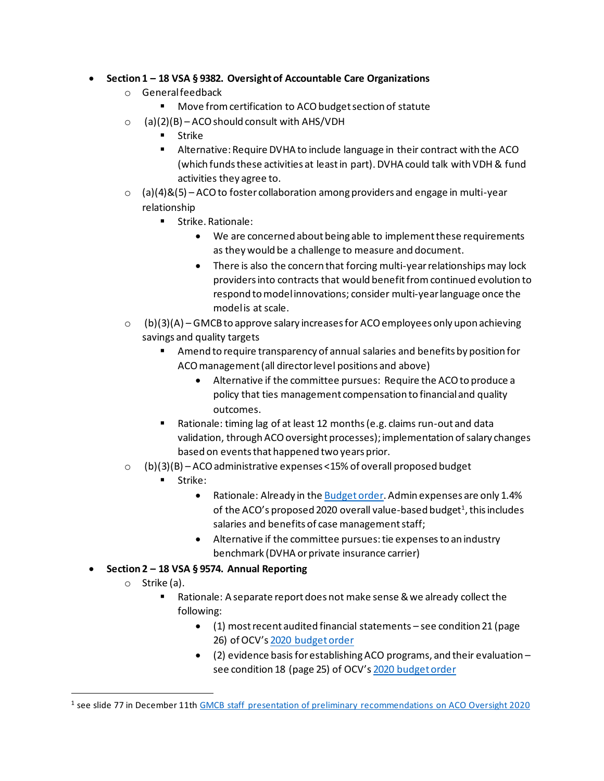## • **Section 1 – 18 VSA § 9382. Oversight of Accountable Care Organizations**

- o Generalfeedback
	- Move from certification to ACO budget section of statute
- $\circ$  (a)(2)(B) ACO should consult with AHS/VDH
	- Strike
	- Alternative: Require DVHA to include language in their contract with the ACO (which funds these activities at least in part). DVHA could talk with VDH & fund activities they agree to.
- $\circ$  (a)(4)&(5) ACO to foster collaboration among providers and engage in multi-year relationship
	- Strike. Rationale:
		- We are concerned about being able to implement these requirements as they would be a challenge to measure and document.
		- There is also the concern that forcing multi-year relationships may lock providers into contracts that would benefit fromcontinued evolution to respond to model innovations; consider multi-year language once the model is at scale.
- $\circ$  (b)(3)(A) GMCB to approve salary increases for ACO employees only upon achieving savings and quality targets
	- Amend to require transparency of annual salaries and benefits by position for ACO management (all director level positions and above)
		- Alternative if the committee pursues: Require the ACO to produce a policy that ties management compensation to financial and quality outcomes.
	- Rationale: timing lag of at least 12 months (e.g. claims run-out and data validation, through ACO oversight processes); implementation of salary changes based on events that happened two years prior.
- $\circ$  (b)(3)(B) ACO administrative expenses <15% of overall proposed budget
	- Strike:
		- Rationale: Already in th[e Budget order.](https://gmcboard.vermont.gov/sites/gmcb/files/documents/payment-reform/FY20%20ACO%20Budget%20Order%2C%20OneCare%20Vermont%3B%2019-001-A.pdf) Admin expenses are only 1.4% of the ACO's proposed 2020 overall value-based budget<sup>1</sup>, this includes salaries and benefits of case management staff;
		- Alternative if the committee pursues: tie expenses to an industry benchmark (DVHA or private insurance carrier)
- **Section 2 – 18 VSA § 9574. Annual Reporting**
	- o Strike (a).
		- Rationale: A separate report does not make sense & we already collect the following:
			- (1) most recent audited financial statements see condition 21 (page 26) of OCV's [2020 budget order](https://gmcboard.vermont.gov/sites/gmcb/files/documents/payment-reform/FY20%20ACO%20Budget%20Order%2C%20OneCare%20Vermont%3B%2019-001-A.pdf)
			- (2) evidence basis for establishing ACO programs, and their evaluation see condition 18 (page 25) of OCV's [2020 budget order](https://gmcboard.vermont.gov/sites/gmcb/files/documents/payment-reform/FY20%20ACO%20Budget%20Order%2C%20OneCare%20Vermont%3B%2019-001-A.pdf)

<sup>&</sup>lt;sup>1</sup> see slide 77 in December 11th GMCB staff presentation of preliminary [recommendations](https://gmcboard.vermont.gov/sites/gmcb/files/documents/12-11-19_ACO_preliminary_reccommendations_FINAL.pdf) on ACO Oversight 2020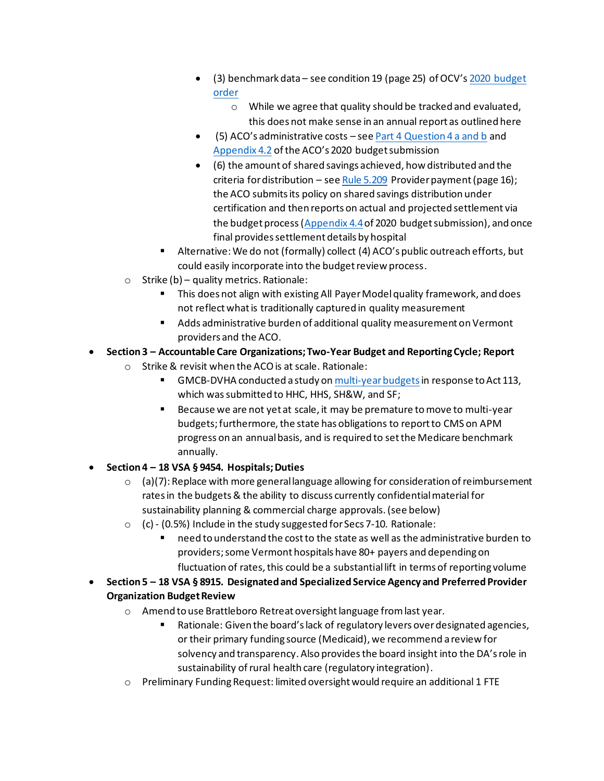- (3) benchmark data see condition 19 (page 25) of OCV's [2020 budget](https://gmcboard.vermont.gov/sites/gmcb/files/documents/payment-reform/FY20%20ACO%20Budget%20Order%2C%20OneCare%20Vermont%3B%2019-001-A.pdf)  [order](https://gmcboard.vermont.gov/sites/gmcb/files/documents/payment-reform/FY20%20ACO%20Budget%20Order%2C%20OneCare%20Vermont%3B%2019-001-A.pdf)
	- o While we agree that quality should be tracked and evaluated, this does not make sense in an annual report as outlined here
- (5) ACO's administrative costs se[e Part 4 Question 4 a and b](https://gmcboard.vermont.gov/sites/gmcb/files/files/payment-reform/GMCB%20ACO%20Budget%20Submission%202020%20Final.pdf) and [Appendix 4.2](https://gmcboard.vermont.gov/sites/gmcb/files/files/payment-reform/2020%20Section%204.1-4.5%20Appendix%20-%20Financial%20Information%20-%20For%20GMCB%20-%20FINAL.xlsx) of the ACO's 2020 budget submission
- (6) the amount of shared savings achieved, how distributed and the criteria for distribution – se[e Rule 5.209](https://gmcboard.vermont.gov/sites/gmcb/files/Rule%205.000.pdf) Provider payment (page 16); the ACO submits its policy on shared savings distribution under certification and then reports on actual and projected settlement via the budget process[\(Appendix 4.4](https://gmcboard.vermont.gov/sites/gmcb/files/files/payment-reform/2020%20Section%204.1-4.5%20Appendix%20-%20Financial%20Information%20-%20For%20GMCB%20-%20FINAL.xlsx)of 2020 budget submission), and once final provides settlement details by hospital
- Alternative: We do not (formally) collect (4) ACO's public outreach efforts, but could easily incorporate into the budget review process.
- $\circ$  Strike (b) quality metrics. Rationale:
	- This does not align with existing All Payer Model quality framework, and does not reflect what is traditionally captured in quality measurement
	- Adds administrative burden of additional quality measurement on Vermont providers and the ACO.
- **Section 3 – Accountable Care Organizations; Two-Year Budget and Reporting Cycle; Report**
	- o Strike & revisit when the ACO is at scale. Rationale:
		- **E** GMCB-DVHA conducted a study o[n multi-year budgets](https://gmcboard.vermont.gov/sites/gmcb/files/files/resources/reports/Act%20113%20Section%2014_Multi-year%20budget%20memo%20for%20review.pdf) in response to Act 113, which was submitted to HHC, HHS, SH&W, and SF;
		- Because we are not yet at scale, it may be premature to move to multi-year budgets; furthermore, the state has obligations to report to CMS on APM progress on an annual basis, and is required to set the Medicare benchmark annually.
- **Section 4 – 18 VSA § 9454. Hospitals; Duties** 
	- $\circ$  (a)(7): Replace with more general language allowing for consideration of reimbursement rates in the budgets & the ability to discuss currently confidential material for sustainability planning & commercial charge approvals. (see below)
	- o (c) (0.5%) Include in the study suggested for Secs 7-10. Rationale:
		- need to understand the cost to the state as well as the administrative burden to providers; some Vermont hospitals have 80+ payers and depending on fluctuation of rates, this could be a substantial lift in terms of reporting volume
- **Section 5 – 18 VSA § 8915. Designated and Specialized Service Agency and Preferred Provider Organization Budget Review**
	- o Amend to use Brattleboro Retreat oversight language from last year.
		- Rationale: Given the board's lack of regulatory levers over designated agencies, or their primary funding source (Medicaid), we recommend a review for solvency and transparency. Also provides the board insight into the DA's role in sustainability of rural health care (regulatory integration).
	- o Preliminary Funding Request: limited oversight would require an additional 1 FTE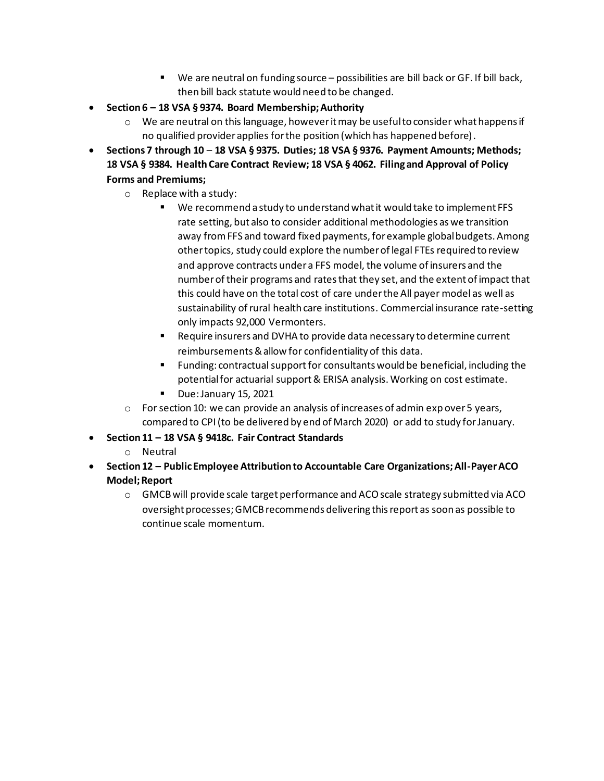- We are neutral on funding source possibilities are bill back or GF. If bill back, then bill back statute would need to be changed.
- **Section 6 – 18 VSA § 9374. Board Membership; Authority**
	- $\circ$  We are neutral on this language, however it may be useful to consider what happens if no qualified provider applies for the position (which has happened before).
- **Sections 7 through 10 18 VSA § 9375. Duties; 18 VSA § 9376. Payment Amounts; Methods; 18 VSA § 9384. Health Care Contract Review; 18 VSA § 4062. Filing and Approval of Policy Forms and Premiums;**
	- o Replace with a study:
		- We recommend a study to understand what it would take to implement FFS rate setting, but also to consider additional methodologies as we transition away from FFS and toward fixed payments, for example global budgets. Among other topics, study could explore the number of legal FTEs required to review and approve contracts under a FFS model, the volume of insurers and the number of their programs and rates that they set, and the extent of impact that this could have on the total cost of care under the All payer model as well as sustainability of rural health care institutions. Commercial insurance rate-setting only impacts 92,000 Vermonters.
		- Require insurers and DVHA to provide data necessary to determine current reimbursements & allow for confidentiality of this data.
		- Funding: contractual support for consultants would be beneficial, including the potential for actuarial support & ERISA analysis. Working on cost estimate.
		- Due: January 15, 2021
	- $\circ$  For section 10: we can provide an analysis of increases of admin exp over 5 years, compared to CPI (to be delivered by end of March 2020) or add to study for January.
- **Section 11 – 18 VSA § 9418c. Fair Contract Standards**
	- o Neutral
- **Section 12 – Public Employee Attribution to Accountable Care Organizations; All-Payer ACO Model; Report**
	- o GMCB will provide scale target performance and ACO scale strategy submitted via ACO oversight processes; GMCB recommends delivering this report as soon as possible to continue scale momentum.